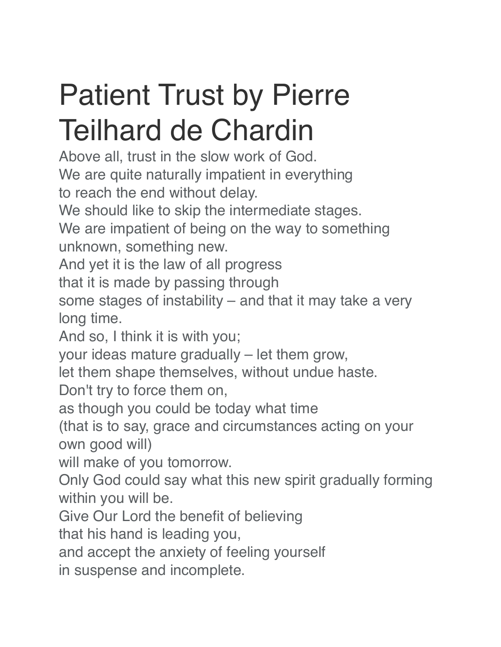## Patient Trust by Pierre Teilhard de Chardin

Above all, trust in the slow work of God. We are quite naturally impatient in everything to reach the end without delay.

We should like to skip the intermediate stages.

We are impatient of being on the way to something unknown, something new.

And yet it is the law of all progress

that it is made by passing through

some stages of instability – and that it may take a very long time.

And so, I think it is with you;

your ideas mature gradually – let them grow,

let them shape themselves, without undue haste.

Don't try to force them on,

as though you could be today what time

(that is to say, grace and circumstances acting on your own good will)

will make of you tomorrow.

Only God could say what this new spirit gradually forming within you will be.

Give Our Lord the benefit of believing

that his hand is leading you,

and accept the anxiety of feeling yourself

in suspense and incomplete.